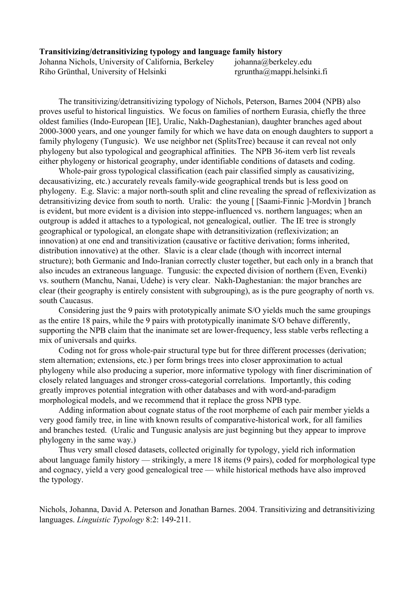## **Transitivizing/detransitivizing typology and language family history**

Johanna Nichols, University of California, Berkeley johanna@berkeley.edu Riho Grünthal, University of Helsinki rgruntha $@$ mappi.helsinki.fi

The transitivizing/detransitivizing typology of Nichols, Peterson, Barnes 2004 (NPB) also proves useful to historical linguistics. We focus on families of northern Eurasia, chiefly the three oldest families (Indo-European [IE], Uralic, Nakh-Daghestanian), daughter branches aged about 20003000 years, and one younger family for which we have data on enough daughters to support a family phylogeny (Tungusic). We use neighbor net (SplitsTree) because it can reveal not only phylogeny but also typological and geographical affinities. The NPB 36-item verb list reveals either phylogeny or historical geography, under identifiable conditions of datasets and coding.

Whole-pair gross typological classification (each pair classified simply as causativizing, decausativizing, etc.) accurately reveals family-wide geographical trends but is less good on phylogeny. E.g. Slavic: a major north-south split and cline revealing the spread of reflexivization as detransitivizing device from south to north. Uralic: the young [ [Saami-Finnic ]-Mordvin ] branch is evident, but more evident is a division into steppe-influenced vs. northern languages; when an outgroup is added it attaches to a typological, not genealogical, outlier. The IE tree is strongly geographical or typological, an elongate shape with detransitivization (reflexivization; an innovation) at one end and transitivization (causative or factitive derivation; forms inherited, distribution innovative) at the other. Slavic is a clear clade (though with incorrect internal structure); both Germanic and Indo-Iranian correctly cluster together, but each only in a branch that also incudes an extraneous language. Tungusic: the expected division of northern (Even, Evenki) vs. southern (Manchu, Nanai, Udehe) is very clear. Nakh-Daghestanian: the major branches are clear (their geography is entirely consistent with subgrouping), as is the pure geography of north vs. south Caucasus.

Considering just the 9 pairs with prototypically animate S/O yields much the same groupings as the entire 18 pairs, while the 9 pairs with prototypically inanimate S/O behave differently, supporting the NPB claim that the inanimate set are lower-frequency, less stable verbs reflecting a mix of universals and quirks.

Coding not for gross whole-pair structural type but for three different processes (derivation; stem alternation; extensions, etc.) per form brings trees into closer approximation to actual phylogeny while also producing a superior, more informative typology with finer discrimination of closely related languages and stronger cross-categorial correlations. Importantly, this coding greatly improves potential integration with other databases and with word-and-paradigm morphological models, and we recommend that it replace the gross NPB type.

Adding information about cognate status of the root morpheme of each pair member yields a very good family tree, in line with known results of comparative-historical work, for all families and branches tested. (Uralic and Tungusic analysis are just beginning but they appear to improve phylogeny in the same way.)

Thus very small closed datasets, collected originally for typology, yield rich information about language family history — strikingly, a mere 18 items (9 pairs), coded for morphological type and cognacy, yield a very good genealogical tree — while historical methods have also improved the typology.

Nichols, Johanna, David A. Peterson and Jonathan Barnes. 2004. Transitivizing and detransitivizing languages. *Linguistic Typology* 8:2: 149-211.